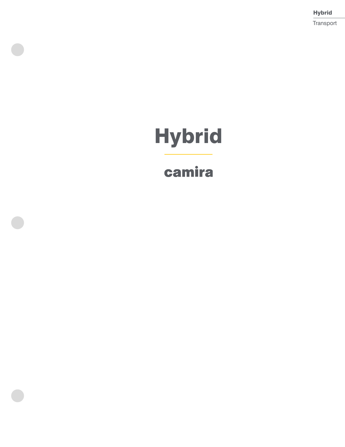Hybrid Transport

# **Hybrid**

## camira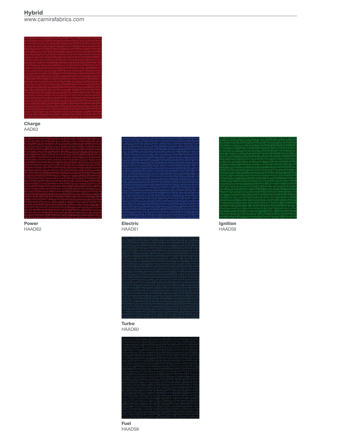### **Hybrid**

www.camirafabrics.com



**Charge** AAD63



Power HAAD62



HAAD61



Turbo HAAD60







Ignition HAAD58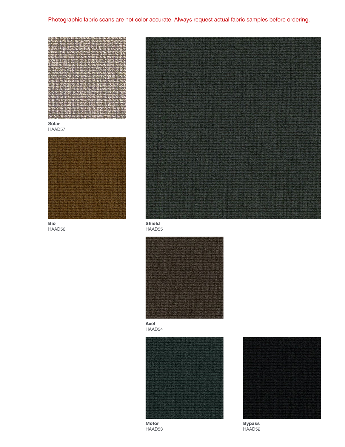Photographic fabric scans are not color accurate. Always request actual fabric samples before ordering.



Solar HAAD57



Bio HAAD56







Axel HAAD54



Motor HAAD53



Bypass HAAD52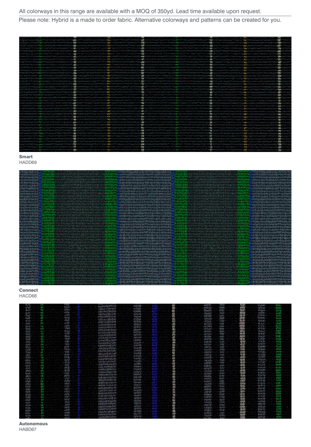Please note: Hybrid is a made to order fabric. Alternative colorways and patterns can be created for you.

| المنافس المحارب المسابقة المنافسة الأولية المسابقة الأولى ومعارفة المسابق المنافس المسابقة المسابق المسابق المسابق                                                                                                                   |                                                                                                                             | the contract of addition the property of the property of the contract of the contract of the contract of the contract of                                                                                                             |                                                                        | <b>STARK AND CONTINUES TO PROPERTY AND THE CONTINUES OF A START CONTINUES.</b>                                                                                                                                                 | a de competitivamento de la constituita de la competitiva de la competitiva de la competitiva de la competitiva                                                                                                                  |                                                                                                                                                                                                                                |  |
|--------------------------------------------------------------------------------------------------------------------------------------------------------------------------------------------------------------------------------------|-----------------------------------------------------------------------------------------------------------------------------|--------------------------------------------------------------------------------------------------------------------------------------------------------------------------------------------------------------------------------------|------------------------------------------------------------------------|--------------------------------------------------------------------------------------------------------------------------------------------------------------------------------------------------------------------------------|----------------------------------------------------------------------------------------------------------------------------------------------------------------------------------------------------------------------------------|--------------------------------------------------------------------------------------------------------------------------------------------------------------------------------------------------------------------------------|--|
|                                                                                                                                                                                                                                      |                                                                                                                             | じんきん きょうきんきょう しゅうきょうきょう                                                                                                                                                                                                              |                                                                        | the contract of the contract of the contract of the contract of the contract of the contract of the contract of                                                                                                                | ● 「そうして アクセントラント アクセス アクセス アクセス アクセス アクセス                                                                                                                                                                                        |                                                                                                                                                                                                                                |  |
|                                                                                                                                                                                                                                      | and the content of the company of the content of the content of the company of the company of the content of the content of |                                                                                                                                                                                                                                      |                                                                        | <b>AND</b> A HIM SONO CONVOLVED ON THE TOTAL THREE THIS CONTINUES OF CONTINUES OF CONTINUES.                                                                                                                                   | <b><i>PEACHTRAN PRODUCTS AND VIOLATION TO</i></b>                                                                                                                                                                                |                                                                                                                                                                                                                                |  |
|                                                                                                                                                                                                                                      | ついしょう フィー・ファー・エンジン きゅうせい アープ・ファー シーン・プリック アクショー                                                                             | <b>CONTRACTOR CONTRACTOR</b>                                                                                                                                                                                                         |                                                                        |                                                                                                                                                                                                                                |                                                                                                                                                                                                                                  |                                                                                                                                                                                                                                |  |
|                                                                                                                                                                                                                                      |                                                                                                                             |                                                                                                                                                                                                                                      |                                                                        |                                                                                                                                                                                                                                |                                                                                                                                                                                                                                  |                                                                                                                                                                                                                                |  |
|                                                                                                                                                                                                                                      | the state countries that the first theory of the first control on the main state of the control of the                      |                                                                                                                                                                                                                                      |                                                                        |                                                                                                                                                                                                                                |                                                                                                                                                                                                                                  |                                                                                                                                                                                                                                |  |
| participations of the series of the Company of Company of the Company of the Series of the Company of the Company                                                                                                                    |                                                                                                                             | he had all how continues with a down the KDV which may had in which the main of the continues of the continent of the continent of the continent of the continent of the continent of the continent of the continent of the co       |                                                                        | <b>STATISTICS</b> AND CONTINUES.                                                                                                                                                                                               |                                                                                                                                                                                                                                  |                                                                                                                                                                                                                                |  |
| المستحقق المستحقق والمستحق والمستحق المتوارد والمحال المستحق والمتحلق والمرابعة المستحقق المراكب والمراكبة المراكبة                                                                                                                  |                                                                                                                             |                                                                                                                                                                                                                                      |                                                                        | Nomental Anne North 1999-19 <mark>99</mark> edda med 1999-1999 Moham M <b>all</b> Chen North Chen Indel de Dans de Mall (1999-1999) med 1999-1999 Moham 199                                                                    | -w                                                                                                                                                                                                                               | しきじゅうりょうこう こうどう しんしゃくじょうけい ちょうこう アールトランター しゅっぱん しんりょうりょうりん                                                                                                                                                                     |  |
|                                                                                                                                                                                                                                      | <b>NOV</b>                                                                                                                  |                                                                                                                                                                                                                                      |                                                                        |                                                                                                                                                                                                                                |                                                                                                                                                                                                                                  |                                                                                                                                                                                                                                |  |
| <b>NEW THE CHINE ANNO CONTRACTOR OF THE CONTRACTORY OF THE CONTRACTORY OF THE CONTRACTORY OF THE CONTRACTORY OF THE CONTRACTORY OF THE CONTRACTORY OF THE CONTRACTORY OF THE CONTRACTORY OF THE CONTRACTORY OF THE CONTRACTORY O</b> |                                                                                                                             |                                                                                                                                                                                                                                      |                                                                        |                                                                                                                                                                                                                                |                                                                                                                                                                                                                                  |                                                                                                                                                                                                                                |  |
| and control of colors in the company of the problem of the company and control of the company                                                                                                                                        |                                                                                                                             |                                                                                                                                                                                                                                      |                                                                        | ے کو ایک اسٹریٹری کے میڈی اور اس کے اس کے میڈیا کا اس کے اس کے اس کے مسلم کی اس کے اس کے اس کے ایک ایک ایک ایک ا                                                                                                               | <b><i>POINT IN YOUR COMPANY OF A</i></b>                                                                                                                                                                                         |                                                                                                                                                                                                                                |  |
| とうきょうきょう きょうきょうきゅうしゃ アントランド・レックス きんじょうしょう                                                                                                                                                                                            |                                                                                                                             |                                                                                                                                                                                                                                      |                                                                        | <b>NACO DE LA CONTRACIÓN DE LA CONTRACIÓN DE LA CONTRACTÓ DE LA CONTRACTÍA DE LA CONTRACTÍA DEL CONTRACTÓ DE LA CO</b>                                                                                                         |                                                                                                                                                                                                                                  |                                                                                                                                                                                                                                |  |
| きんのう いっしょう こうきん しゅうしゅう アクセス・アクセス しゅうしょう アール・ディー                                                                                                                                                                                      | <b><i>Chairman Common</i></b>                                                                                               |                                                                                                                                                                                                                                      |                                                                        | e de la completación de la completación de la completación de la completación de la completación de la completación                                                                                                            |                                                                                                                                                                                                                                  | man political control de l'alla College de Castella College de la Castella Castella de la college de la castell                                                                                                                |  |
| mento es sua provincia al provincia e sus contras en la construcción especial construcción en la construcción                                                                                                                        |                                                                                                                             |                                                                                                                                                                                                                                      |                                                                        | <b>COMPARING A CONTRACT AND COMPARING A REPORT OF A COMPARING A COMPANION CONTRACT A CONTRACT OF A COMPANION COMPANION</b>                                                                                                     |                                                                                                                                                                                                                                  |                                                                                                                                                                                                                                |  |
|                                                                                                                                                                                                                                      |                                                                                                                             |                                                                                                                                                                                                                                      |                                                                        |                                                                                                                                                                                                                                | <b>LINES</b><br>Management and a control of the control of the control of the control of the control of                                                                                                                          |                                                                                                                                                                                                                                |  |
|                                                                                                                                                                                                                                      |                                                                                                                             |                                                                                                                                                                                                                                      |                                                                        |                                                                                                                                                                                                                                |                                                                                                                                                                                                                                  |                                                                                                                                                                                                                                |  |
| ent, anglica espicitum edition delinitativo especial contestintativos de la <b>subj</b> ectivo del contestinto en 1990 e con                                                                                                         |                                                                                                                             | しのかいかん アクセット・アクセス アクセス・アクセス しょうきゅう                                                                                                                                                                                                   |                                                                        | LAN SELATION AND COMPUTATION AND THE RELATIONSHIP OF THE CONTRACT OF THE CONTRACT OF A STATEMENT AND DESCRIPTION OF THE RELATIONSHIP OF THE STATE OF THE RELATIONSHIP OF THE CONTRACT OF THE RELATIONSHIP OF THE CONTRACT OF T |                                                                                                                                                                                                                                  |                                                                                                                                                                                                                                |  |
| and the company of the superior of the COS of the Constitution of the COUNTAIN COMPANY of the Constitution of the Philippy of<br><b>NUMBER</b>                                                                                       |                                                                                                                             |                                                                                                                                                                                                                                      |                                                                        | y (1978) ha Ball (1986) and also pays that is a management of the United States of the American States                                                                                                                         | <b>STATE</b><br><b><i>CARD AND HONORADO CONTROLLING HALL IN</i></b>                                                                                                                                                              |                                                                                                                                                                                                                                |  |
|                                                                                                                                                                                                                                      |                                                                                                                             |                                                                                                                                                                                                                                      |                                                                        |                                                                                                                                                                                                                                |                                                                                                                                                                                                                                  |                                                                                                                                                                                                                                |  |
| メンバイン ベースト・マング アンティング・ディー ディー・ソフト・ショー                                                                                                                                                                                                | にっぽんしゅうしん しゅうしゅう アイトレース アイストライト アイト・アイト しょうしょうかい                                                                            |                                                                                                                                                                                                                                      |                                                                        | <b>COMPANY OF STREET</b>                                                                                                                                                                                                       |                                                                                                                                                                                                                                  | program and the program and a second control of the control of the control of the control of the control of the                                                                                                                |  |
| the control of an interest of the PolyMarch Control of the Control of The Control of The Control of The Control of                                                                                                                   |                                                                                                                             | <b>ことでいるときでもあると思いますから、この意味のつきどういっきょうとうことでしょういいです。それには、そのことにも見られることをしているのですから、それをしているのです。</b>                                                                                                                                         |                                                                        |                                                                                                                                                                                                                                | alan kaliman dan berjada dan sebagai dan berjada dan menjada dan sebagai dalam dalam dan berjada dan menjadi d<br>Sebagai dan berjada dalam dan terdasan dan disebut dan disebut dan menjada dan disebut dan disebut dan disebut |                                                                                                                                                                                                                                |  |
|                                                                                                                                                                                                                                      |                                                                                                                             |                                                                                                                                                                                                                                      |                                                                        | en ander gegendet fan aan Verskappen van de producteer. Het de aandere kompten aan de van de jaar fan de fande fan de fande om gewone van de verskeie om de verken                                                             | <b>の場所についてのパインションの</b> というのが、それは、その他のことをあることが、それは、その他のことが、                                                                                                                                                                       |                                                                                                                                                                                                                                |  |
| NONTRATION IN CONTRACTOR CONTRACTOR                                                                                                                                                                                                  | and and an international conditions of the condition of the conditions of the condition of the CO Condition of              | しんしん アクセス・ディー アクセス・ディー アクセス・ディー アクセス・アクセス                                                                                                                                                                                            |                                                                        | <b>ことが、これをかけているのですから、それは、これをおくているのですが、その他には、その他にもありますから</b>                                                                                                                                                                    |                                                                                                                                                                                                                                  |                                                                                                                                                                                                                                |  |
|                                                                                                                                                                                                                                      |                                                                                                                             |                                                                                                                                                                                                                                      |                                                                        |                                                                                                                                                                                                                                |                                                                                                                                                                                                                                  |                                                                                                                                                                                                                                |  |
|                                                                                                                                                                                                                                      |                                                                                                                             |                                                                                                                                                                                                                                      |                                                                        | a standard and an industry the standard state of the state of the state of the state of the state of the state of the state of the state of the state of the state of the state of the state of the state of the state of the  | <b>THE LOOKING AT ATTO A HOUSE</b>                                                                                                                                                                                               | <b>NOVA SUA PARADONALISTA CAR</b>                                                                                                                                                                                              |  |
|                                                                                                                                                                                                                                      |                                                                                                                             |                                                                                                                                                                                                                                      |                                                                        |                                                                                                                                                                                                                                |                                                                                                                                                                                                                                  | The Control and Call also a substance of the control of the control of the control of the control of the control of the control of the control of the control of the control of the control of the control of the control of t |  |
|                                                                                                                                                                                                                                      |                                                                                                                             | man and the state of the state of the fight of the state state of man to the control man that of the state of the state of the state of the state of the state of the state of the state of the state of the state of the stat       |                                                                        |                                                                                                                                                                                                                                | A TOWN OF CHILD AND THE CONDITIONS OF THE CONDITIONS OF A THE CONDITIONS OF                                                                                                                                                      |                                                                                                                                                                                                                                |  |
| しゅうようきゅうしつしゅう じゅうきゅうしょう どうきょうしょう きりん きょうきょうきょう                                                                                                                                                                                       | <b>THE RESIDENT CONTROL CONTROL CONTROL CONTROL COMPANY CONTROL CONTROL CONTROL CONTROL CONTROL CONTROL CONTROL CO</b>      |                                                                                                                                                                                                                                      | <b>THE CONSTRUCTION</b>                                                |                                                                                                                                                                                                                                | <b>COM</b>                                                                                                                                                                                                                       |                                                                                                                                                                                                                                |  |
|                                                                                                                                                                                                                                      |                                                                                                                             |                                                                                                                                                                                                                                      |                                                                        |                                                                                                                                                                                                                                |                                                                                                                                                                                                                                  |                                                                                                                                                                                                                                |  |
| NAN NASHA KAMA MANANG NASHA KAMA NA MANANG                                                                                                                                                                                           |                                                                                                                             | しょうかんかん きょうきょう アイティング アイアングライブ アイディング アイディング                                                                                                                                                                                         |                                                                        | <b>CONTRACTOR</b>                                                                                                                                                                                                              | <b>STATISTICS</b>                                                                                                                                                                                                                |                                                                                                                                                                                                                                |  |
|                                                                                                                                                                                                                                      |                                                                                                                             |                                                                                                                                                                                                                                      | <b>COMPANY AND ARRANGEMENT</b>                                         |                                                                                                                                                                                                                                |                                                                                                                                                                                                                                  |                                                                                                                                                                                                                                |  |
|                                                                                                                                                                                                                                      |                                                                                                                             | <b>CONTRACTOR COMPANY AND COMPANY AND PROPERTY OF A STATE OF A STATE OF A STATE OF A STATE OF A STATE OF A STATE OF A STATE OF A STATE OF A STATE OF A STATE OF A STATE OF A STATE OF A STATE OF A STATE OF A STATE OF A STATE O</b> |                                                                        |                                                                                                                                                                                                                                |                                                                                                                                                                                                                                  |                                                                                                                                                                                                                                |  |
| きんひょうじゅう ジャンク しんしゅう アイティー・ディー・アイ アイディング・ディング                                                                                                                                                                                         |                                                                                                                             | http://www.com/android/ware/ware/ware/ware/com/and/com/android/com/and/com/and/com/and/and/and/and/com/and/and                                                                                                                       |                                                                        |                                                                                                                                                                                                                                |                                                                                                                                                                                                                                  |                                                                                                                                                                                                                                |  |
|                                                                                                                                                                                                                                      |                                                                                                                             |                                                                                                                                                                                                                                      |                                                                        |                                                                                                                                                                                                                                |                                                                                                                                                                                                                                  |                                                                                                                                                                                                                                |  |
|                                                                                                                                                                                                                                      |                                                                                                                             | the position of the Company of the Constantine Company and the Constantine Property (2000) and the Motors                                                                                                                            | <b>NEW ART WAS TRANSPORTED TO A THOMAS AND A CONTRACT.</b>             |                                                                                                                                                                                                                                | <b>CONTRACTOR CONTRACTOR CONTRACTOR</b>                                                                                                                                                                                          |                                                                                                                                                                                                                                |  |
| ht/Nhelming vising and the man in the station of the state of the state of the man alternative the manufacture of the state of the state of the state of the state of the state of the state of the state of the state of the        |                                                                                                                             |                                                                                                                                                                                                                                      |                                                                        | <b>SAN STATISTICS</b>                                                                                                                                                                                                          | <b>DO</b>                                                                                                                                                                                                                        |                                                                                                                                                                                                                                |  |
|                                                                                                                                                                                                                                      | とうしんかん おおところ しんしんしょう しんしん しんしん しんしん しんしん アイトライン アイトライト アイトライト しんしょう しんしゃ しんきょうかん しょうしん                                      |                                                                                                                                                                                                                                      |                                                                        |                                                                                                                                                                                                                                | (The Screenware of the Problem of Calif.)                                                                                                                                                                                        |                                                                                                                                                                                                                                |  |
| ちょうきょう アクセンテント じゅうしゅう カート・パン アイディング アイディング しんきょう                                                                                                                                                                                     |                                                                                                                             |                                                                                                                                                                                                                                      |                                                                        |                                                                                                                                                                                                                                |                                                                                                                                                                                                                                  |                                                                                                                                                                                                                                |  |
|                                                                                                                                                                                                                                      |                                                                                                                             |                                                                                                                                                                                                                                      |                                                                        |                                                                                                                                                                                                                                |                                                                                                                                                                                                                                  |                                                                                                                                                                                                                                |  |
| na population production of the contract of the COVID-SO Production of the CoVID-DOM to the local COVID-DOM to the COVID-                                                                                                            |                                                                                                                             |                                                                                                                                                                                                                                      | かまん きんしんこうしょう しゅんしついんきゅうきん あいこうしょう アイト・ディー・ディー・ディー・ディー・ディー・ディー・ディー・ディー | <b>CONTRACTOR CONTRACTOR CONTRACTOR</b>                                                                                                                                                                                        |                                                                                                                                                                                                                                  |                                                                                                                                                                                                                                |  |
|                                                                                                                                                                                                                                      |                                                                                                                             |                                                                                                                                                                                                                                      | <b>SIGNA</b><br>しんしょうきょう きょうしん アイストライン しゅうしょう きょうしょう アイアール             | <b>CONTRACTOR</b>                                                                                                                                                                                                              |                                                                                                                                                                                                                                  | アントレート アイト アクトライム・アイト                                                                                                                                                                                                          |  |
|                                                                                                                                                                                                                                      |                                                                                                                             |                                                                                                                                                                                                                                      |                                                                        | こうせんこう アイアンディーション たいきょう きょうかん あかいしょう                                                                                                                                                                                           | <b>STRATEGIC AND THE COMPANY</b>                                                                                                                                                                                                 |                                                                                                                                                                                                                                |  |
| 7407 North Lakes on Internet Product and Product and Section 1999 of                                                                                                                                                                 |                                                                                                                             |                                                                                                                                                                                                                                      |                                                                        |                                                                                                                                                                                                                                |                                                                                                                                                                                                                                  |                                                                                                                                                                                                                                |  |
|                                                                                                                                                                                                                                      | <b>Performance of the control of public control of the Painting Paint</b>                                                   |                                                                                                                                                                                                                                      |                                                                        | その他のことになることにも書く                                                                                                                                                                                                                | さけくり とんで にっぽうしゅうほうつうこ                                                                                                                                                                                                            |                                                                                                                                                                                                                                |  |
|                                                                                                                                                                                                                                      |                                                                                                                             |                                                                                                                                                                                                                                      |                                                                        |                                                                                                                                                                                                                                |                                                                                                                                                                                                                                  |                                                                                                                                                                                                                                |  |
|                                                                                                                                                                                                                                      |                                                                                                                             |                                                                                                                                                                                                                                      |                                                                        |                                                                                                                                                                                                                                |                                                                                                                                                                                                                                  |                                                                                                                                                                                                                                |  |
|                                                                                                                                                                                                                                      |                                                                                                                             |                                                                                                                                                                                                                                      |                                                                        |                                                                                                                                                                                                                                |                                                                                                                                                                                                                                  |                                                                                                                                                                                                                                |  |
|                                                                                                                                                                                                                                      |                                                                                                                             |                                                                                                                                                                                                                                      |                                                                        |                                                                                                                                                                                                                                |                                                                                                                                                                                                                                  |                                                                                                                                                                                                                                |  |
|                                                                                                                                                                                                                                      |                                                                                                                             |                                                                                                                                                                                                                                      |                                                                        |                                                                                                                                                                                                                                |                                                                                                                                                                                                                                  |                                                                                                                                                                                                                                |  |









| PG 11         |                | ANVINUED DE DE DE                                                  | <b>WORKSH</b>  |  | that print fire. | espo             |              | 12/2003         | <b>ATA JUNE</b>    |
|---------------|----------------|--------------------------------------------------------------------|----------------|--|------------------|------------------|--------------|-----------------|--------------------|
| UNK           |                |                                                                    |                |  | <b>CURVAL</b>    | com              | ren          | convert         | 24.97              |
| 384°C         |                |                                                                    | 10008          |  | 20 issues.       | 868              | ŵФ           | 4052645         | 8200               |
| be by         |                | <b>Chadrishershi</b>                                               | 10,524         |  |                  |                  | maa          | <b>STICKS</b>   |                    |
|               |                | <b>NORTHERN START</b>                                              | statyke        |  | 2050323          | 10.01            |              |                 | 4435               |
| foat          |                | <b>TRIVATEMALIA</b>                                                | Wolesk         |  | 342-3110         | 70/7             |              | 120705          | 72 EV              |
| 1430          | 70-84          | 22022433993724                                                     | 21-Thee        |  | 2010-01          | scop             |              | <b>REPORT</b>   | <b>buyer</b>       |
| WW)           | $-0.02$        |                                                                    | <b>REPAIR</b>  |  | 2476.95          | min              |              | 331509          | 50.000             |
| <b>Vick</b>   | ev/kP          | orals to photoni                                                   |                |  | Art July         | 3548             |              | <b>REMOVA</b>   | 42,626             |
|               | jA/7           | バッグスさんびきゅうりゅう                                                      | ehwa           |  | <b>KC/920</b>    | <b>JANU</b>      |              | イオらぎまと          | 9449.              |
| 鼺             | 10264          | AP0201202055720                                                    | ask Novee      |  |                  | 91094            | reva         | 2412-01         | 45.50              |
|               | <b>Oct 2cm</b> | shoulespecture                                                     | höwsvit        |  | <b>APPONE</b>    |                  |              |                 | (ما ب              |
| NGO           | 12301          | apatests conta                                                     | 165326         |  | 033231           | ylon).           | <b>OCKS</b>  | できりあいる          |                    |
| 1954          |                | WatXMEN                                                            | <b>TUNY T</b>  |  | <b>APPROVI</b>   | 5246             | 鱛            | Density of      | #262               |
| dia ka        | <b>Olara's</b> | <b>ICHEB6PLAGSSON</b>                                              | <b>Keine</b>   |  | AP17Ps           | 70103            |              | 0.90%           | MК                 |
| <b>Felder</b> | <b>MONT</b>    |                                                                    | eaulebl        |  | Aire/Vol.        | 1545             | <b>Total</b> | NAMA            | 2267               |
| <b>ANG</b>    |                | <b>UNIVATE-NOC</b>                                                 |                |  | <b>KRATIVA</b>   | <b>John</b>      |              | <b>CP PH PH</b> |                    |
| 29(2)         |                | <b>Icenstrate COM</b>                                              | ericeisati     |  | Nello            | Nat              |              | 6-10-10         | 1.24.94            |
|               |                | na politica de política.<br>El control de la control de la control | 128.949        |  | 260220           | <b>SORT</b>      |              | 100/070         | 动动                 |
| <b>MAG</b>    |                |                                                                    | 54200          |  |                  |                  | 頭板           |                 | den p              |
| 5676          |                | さかひやまどばずでどのか                                                       | <b>CMYAC</b>   |  | <b>M4944</b>     | rete.            |              | Fy hours.       |                    |
| Nei           |                | 1829-103224-041                                                    | inNi           |  | $-0.5 - 2.7$     | NW               | NO           | <b>ROADER</b>   | <b>MAR</b>         |
| A2M           |                | C/Wolstein                                                         | 212-211        |  | <b>KIDS10</b>    | 1245             | hi di        | PONNA           | 6N)                |
| N/Si          |                | 19.50                                                              |                |  | 563455           | 1240             | юw           | 12090           | NN.                |
| pel en        | <b>JANY</b>    | 12492992940432                                                     | <b>Treilic</b> |  | 3 to 8 T2        | <b>Vivi</b>      | νR           | Mein            | el 22              |
| en            |                | <b>UNITED VICE OF DEAT</b>                                         |                |  | systems          | 675              | 43.20        | 36.6743         | <b>PAKO</b>        |
|               | 3042           | <b>Fed String Digestor</b>                                         | 45/496         |  |                  | 440              | <b>NR</b>    | 20(263)         | 1718               |
| VAV           |                | いるいりつきいきこと                                                         | 278812         |  | <b>ZOVPIS</b>    |                  | Ab did       | 100607          | <b>FOR</b>         |
| 48.8          |                | NAMES POSTAGE                                                      | 23.04.92       |  | <b>Monte</b>     | $A_1A_2$         |              | 20-2435         |                    |
| NW)           |                | NNMNNNNNN                                                          | <b>STORE</b>   |  | 4.23224          | 0.03             |              |                 |                    |
| Airwin        |                |                                                                    | 105910         |  | 10000            | $30 - 27$        | 120,00       | 新型汽             | 342%               |
| <b>SECT</b>   | 35,05          | (2003) 284-29                                                      |                |  | eday for         | 3474             | 6ä           | 193245          | 6749               |
| eew           | 4922           | <b>MACHINESSACH</b>                                                | 72052022       |  | 2020/01          | 76 KV            | 1368         | 3.045.37        | <b>May N</b>       |
| 40at          | 12701          | Middlebandere N                                                    | 949282         |  | <b>Milling</b>   | <b>GMS</b>       | 2247         | 59145.65        | 75.34              |
|               | <b>RAIRS</b>   | es debuta como                                                     | 624245         |  |                  | 1000             | 33.95        | 23.52.53        | eculo              |
| 6204          | 46,7424        | NEVERS PROBAS ED                                                   | 354043         |  | 2018/05/15       |                  | <b>WA)</b>   | <b>PAYE OF</b>  | 129.2              |
| <b>ROUGH</b>  |                | 12:03:20/01932:03                                                  |                |  | <b>WARD</b>      | <b>Viche</b>     |              | <b>Jew AI</b>   |                    |
| 8387          | 32.201         | 451049570<br>6492                                                  | 18.0019        |  | <b>USINAR</b>    | <b>KNPD</b>      | 14           |                 | 4637               |
| 0030          | 4/200          |                                                                    | 2,250,250      |  | <b>SYSPIAN</b>   | xb9n             |              | 43-30-04        | M CA               |
| 70.02         | <b>Wes</b>     | BLOCKASTER-RATH                                                    |                |  | <b>PLEWIN</b>    | <b>POW</b>       |              | 24.24.NL        | 34.00              |
| Pel 40        | AIRG           | <b>ANGERSTERATE</b>                                                | 12020-02       |  | <b>COVER</b>     | 52-07            | 燃            | 430.06762       | MМ                 |
|               | inti           | 2000000000                                                         | 322211         |  | 210290           | $x\beta x/\beta$ |              | $3a + 37$       | \$25.20            |
| 9849          | <b>VENDO</b>   | 29/20/20/20 22:22:22                                               | stvice         |  |                  | kR63             | úw           | 10-1202         | 249                |
| 800           |                | <b>JOHN DERE</b>                                                   | 65256          |  | nove             |                  | <b>NGC</b>   | 1995, 93        | noc                |
| $15 - 35$     | piete          | 120022-01                                                          |                |  | 3374'61          | 2933             | 120,000      | 6/10/60         | 14 M               |
| tic/a.        | 167-2          | <b>Headland C</b>                                                  | 1250 11        |  | <b>NASW</b>      | 24:00            | 53           |                 |                    |
| <b>AND</b>    | 4122           |                                                                    | <b>CVX VOL</b> |  | 2545055          | NH               |              | 1044.10         | <b>6345</b>        |
| 806           | sunan          | 1506980                                                            |                |  | baskus           | 5340             |              | 974-553         | 1574               |
| 10YS          | 2015           | 60623020                                                           |                |  |                  | yiel (N)         |              | WENNEL SIZE     | Cus <sup>1</sup> N |
|               |                | 1500-01004                                                         |                |  |                  |                  |              | 60710           | 800                |

Autonomous HABD67